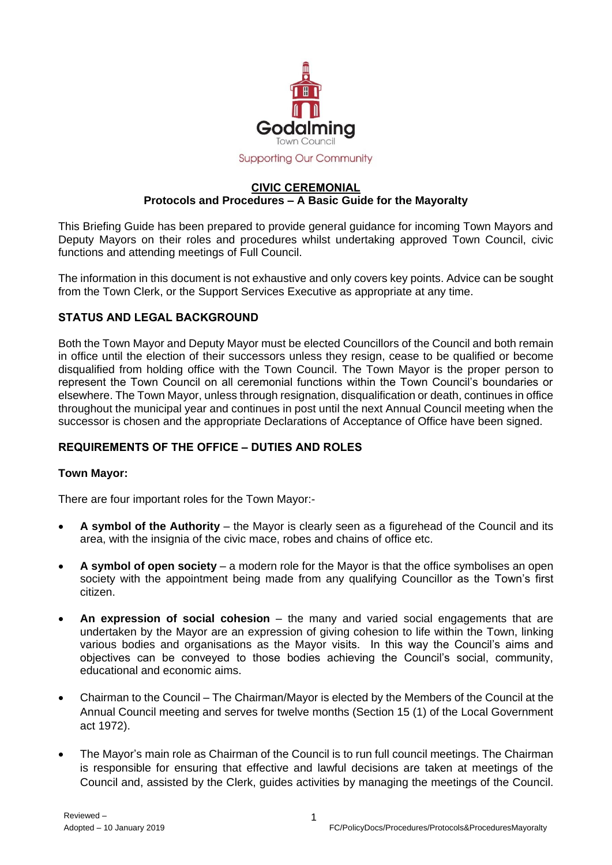

#### **Supporting Our Community**

#### **CIVIC CEREMONIAL Protocols and Procedures – A Basic Guide for the Mayoralty**

This Briefing Guide has been prepared to provide general guidance for incoming Town Mayors and Deputy Mayors on their roles and procedures whilst undertaking approved Town Council, civic functions and attending meetings of Full Council.

The information in this document is not exhaustive and only covers key points. Advice can be sought from the Town Clerk, or the Support Services Executive as appropriate at any time.

### **STATUS AND LEGAL BACKGROUND**

Both the Town Mayor and Deputy Mayor must be elected Councillors of the Council and both remain in office until the election of their successors unless they resign, cease to be qualified or become disqualified from holding office with the Town Council. The Town Mayor is the proper person to represent the Town Council on all ceremonial functions within the Town Council's boundaries or elsewhere. The Town Mayor, unless through resignation, disqualification or death, continues in office throughout the municipal year and continues in post until the next Annual Council meeting when the successor is chosen and the appropriate Declarations of Acceptance of Office have been signed.

### **REQUIREMENTS OF THE OFFICE – DUTIES AND ROLES**

### **Town Mayor:**

There are four important roles for the Town Mayor:-

- **A symbol of the Authority** the Mayor is clearly seen as a figurehead of the Council and its area, with the insignia of the civic mace, robes and chains of office etc.
- **A symbol of open society** a modern role for the Mayor is that the office symbolises an open society with the appointment being made from any qualifying Councillor as the Town's first citizen.
- **An expression of social cohesion** the many and varied social engagements that are undertaken by the Mayor are an expression of giving cohesion to life within the Town, linking various bodies and organisations as the Mayor visits. In this way the Council's aims and objectives can be conveyed to those bodies achieving the Council's social, community, educational and economic aims.
- Chairman to the Council The Chairman/Mayor is elected by the Members of the Council at the Annual Council meeting and serves for twelve months (Section 15 (1) of the Local Government act 1972).
- The Mayor's main role as Chairman of the Council is to run full council meetings. The Chairman is responsible for ensuring that effective and lawful decisions are taken at meetings of the Council and, assisted by the Clerk, guides activities by managing the meetings of the Council.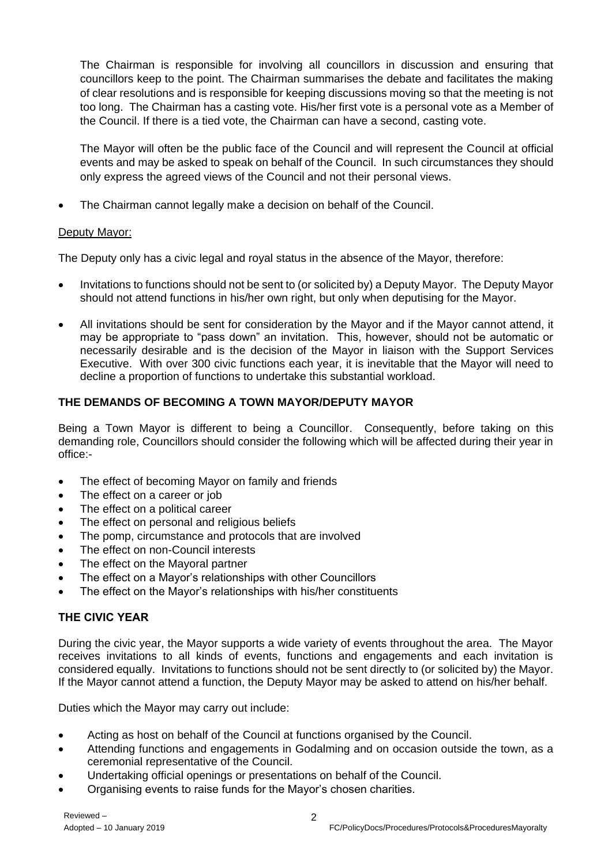The Chairman is responsible for involving all councillors in discussion and ensuring that councillors keep to the point. The Chairman summarises the debate and facilitates the making of clear resolutions and is responsible for keeping discussions moving so that the meeting is not too long. The Chairman has a casting vote. His/her first vote is a personal vote as a Member of the Council. If there is a tied vote, the Chairman can have a second, casting vote.

The Mayor will often be the public face of the Council and will represent the Council at official events and may be asked to speak on behalf of the Council. In such circumstances they should only express the agreed views of the Council and not their personal views.

The Chairman cannot legally make a decision on behalf of the Council.

## Deputy Mayor:

The Deputy only has a civic legal and royal status in the absence of the Mayor, therefore:

- Invitations to functions should not be sent to (or solicited by) a Deputy Mayor. The Deputy Mayor should not attend functions in his/her own right, but only when deputising for the Mayor.
- All invitations should be sent for consideration by the Mayor and if the Mayor cannot attend, it may be appropriate to "pass down" an invitation. This, however, should not be automatic or necessarily desirable and is the decision of the Mayor in liaison with the Support Services Executive. With over 300 civic functions each year, it is inevitable that the Mayor will need to decline a proportion of functions to undertake this substantial workload.

## **THE DEMANDS OF BECOMING A TOWN MAYOR/DEPUTY MAYOR**

Being a Town Mayor is different to being a Councillor. Consequently, before taking on this demanding role, Councillors should consider the following which will be affected during their year in office:-

- The effect of becoming Mayor on family and friends
- The effect on a career or job
- The effect on a political career
- The effect on personal and religious beliefs
- The pomp, circumstance and protocols that are involved
- The effect on non-Council interests
- The effect on the Mayoral partner
- The effect on a Mayor's relationships with other Councillors
- The effect on the Mayor's relationships with his/her constituents

# **THE CIVIC YEAR**

During the civic year, the Mayor supports a wide variety of events throughout the area. The Mayor receives invitations to all kinds of events, functions and engagements and each invitation is considered equally. Invitations to functions should not be sent directly to (or solicited by) the Mayor. If the Mayor cannot attend a function, the Deputy Mayor may be asked to attend on his/her behalf.

Duties which the Mayor may carry out include:

- Acting as host on behalf of the Council at functions organised by the Council.
- Attending functions and engagements in Godalming and on occasion outside the town, as a ceremonial representative of the Council.
- Undertaking official openings or presentations on behalf of the Council.
- Organising events to raise funds for the Mayor's chosen charities.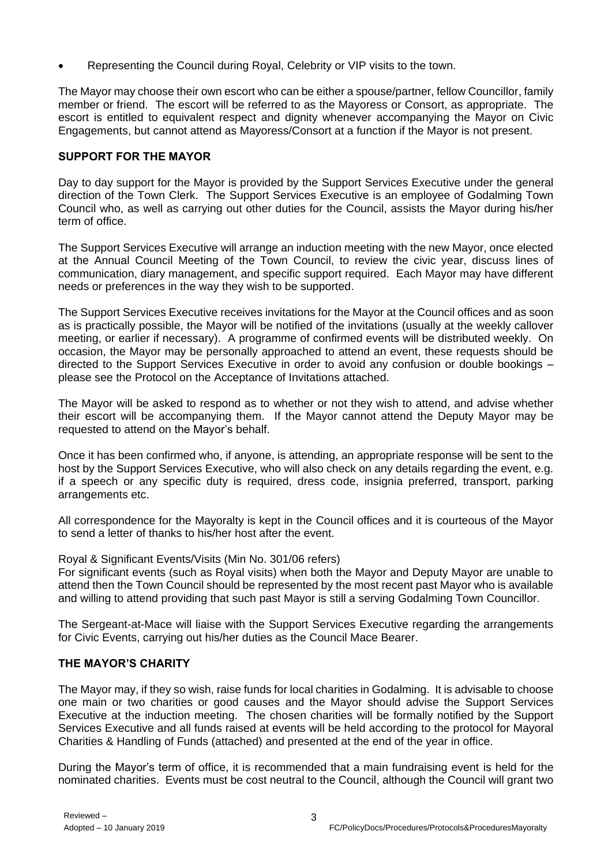Representing the Council during Royal, Celebrity or VIP visits to the town.

The Mayor may choose their own escort who can be either a spouse/partner, fellow Councillor, family member or friend. The escort will be referred to as the Mayoress or Consort, as appropriate. The escort is entitled to equivalent respect and dignity whenever accompanying the Mayor on Civic Engagements, but cannot attend as Mayoress/Consort at a function if the Mayor is not present.

### **SUPPORT FOR THE MAYOR**

Day to day support for the Mayor is provided by the Support Services Executive under the general direction of the Town Clerk. The Support Services Executive is an employee of Godalming Town Council who, as well as carrying out other duties for the Council, assists the Mayor during his/her term of office.

The Support Services Executive will arrange an induction meeting with the new Mayor, once elected at the Annual Council Meeting of the Town Council, to review the civic year, discuss lines of communication, diary management, and specific support required. Each Mayor may have different needs or preferences in the way they wish to be supported.

The Support Services Executive receives invitations for the Mayor at the Council offices and as soon as is practically possible, the Mayor will be notified of the invitations (usually at the weekly callover meeting, or earlier if necessary). A programme of confirmed events will be distributed weekly. On occasion, the Mayor may be personally approached to attend an event, these requests should be directed to the Support Services Executive in order to avoid any confusion or double bookings – please see the Protocol on the Acceptance of Invitations attached.

The Mayor will be asked to respond as to whether or not they wish to attend, and advise whether their escort will be accompanying them. If the Mayor cannot attend the Deputy Mayor may be requested to attend on the Mayor's behalf.

Once it has been confirmed who, if anyone, is attending, an appropriate response will be sent to the host by the Support Services Executive, who will also check on any details regarding the event, e.g. if a speech or any specific duty is required, dress code, insignia preferred, transport, parking arrangements etc.

All correspondence for the Mayoralty is kept in the Council offices and it is courteous of the Mayor to send a letter of thanks to his/her host after the event.

Royal & Significant Events/Visits (Min No. 301/06 refers)

For significant events (such as Royal visits) when both the Mayor and Deputy Mayor are unable to attend then the Town Council should be represented by the most recent past Mayor who is available and willing to attend providing that such past Mayor is still a serving Godalming Town Councillor.

The Sergeant-at-Mace will liaise with the Support Services Executive regarding the arrangements for Civic Events, carrying out his/her duties as the Council Mace Bearer.

### **THE MAYOR'S CHARITY**

The Mayor may, if they so wish, raise funds for local charities in Godalming. It is advisable to choose one main or two charities or good causes and the Mayor should advise the Support Services Executive at the induction meeting. The chosen charities will be formally notified by the Support Services Executive and all funds raised at events will be held according to the protocol for Mayoral Charities & Handling of Funds (attached) and presented at the end of the year in office.

During the Mayor's term of office, it is recommended that a main fundraising event is held for the nominated charities. Events must be cost neutral to the Council, although the Council will grant two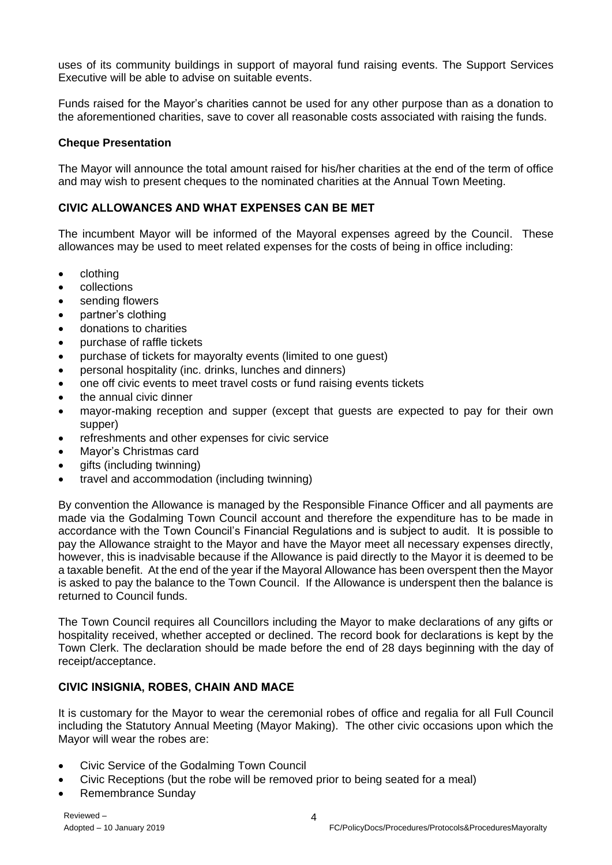uses of its community buildings in support of mayoral fund raising events. The Support Services Executive will be able to advise on suitable events.

Funds raised for the Mayor's charities cannot be used for any other purpose than as a donation to the aforementioned charities, save to cover all reasonable costs associated with raising the funds.

### **Cheque Presentation**

The Mayor will announce the total amount raised for his/her charities at the end of the term of office and may wish to present cheques to the nominated charities at the Annual Town Meeting.

## **CIVIC ALLOWANCES AND WHAT EXPENSES CAN BE MET**

The incumbent Mayor will be informed of the Mayoral expenses agreed by the Council. These allowances may be used to meet related expenses for the costs of being in office including:

- clothing
- collections
- sending flowers
- partner's clothing
- donations to charities
- purchase of raffle tickets
- purchase of tickets for mayoralty events (limited to one guest)
- personal hospitality (inc. drinks, lunches and dinners)
- one off civic events to meet travel costs or fund raising events tickets
- the annual civic dinner
- mayor-making reception and supper (except that guests are expected to pay for their own supper)
- refreshments and other expenses for civic service
- Mayor's Christmas card
- gifts (including twinning)
- travel and accommodation (including twinning)

By convention the Allowance is managed by the Responsible Finance Officer and all payments are made via the Godalming Town Council account and therefore the expenditure has to be made in accordance with the Town Council's Financial Regulations and is subject to audit. It is possible to pay the Allowance straight to the Mayor and have the Mayor meet all necessary expenses directly, however, this is inadvisable because if the Allowance is paid directly to the Mayor it is deemed to be a taxable benefit. At the end of the year if the Mayoral Allowance has been overspent then the Mayor is asked to pay the balance to the Town Council. If the Allowance is underspent then the balance is returned to Council funds.

The Town Council requires all Councillors including the Mayor to make declarations of any gifts or hospitality received, whether accepted or declined. The record book for declarations is kept by the Town Clerk. The declaration should be made before the end of 28 days beginning with the day of receipt/acceptance.

### **CIVIC INSIGNIA, ROBES, CHAIN AND MACE**

It is customary for the Mayor to wear the ceremonial robes of office and regalia for all Full Council including the Statutory Annual Meeting (Mayor Making). The other civic occasions upon which the Mayor will wear the robes are:

- Civic Service of the Godalming Town Council
- Civic Receptions (but the robe will be removed prior to being seated for a meal)
- Remembrance Sunday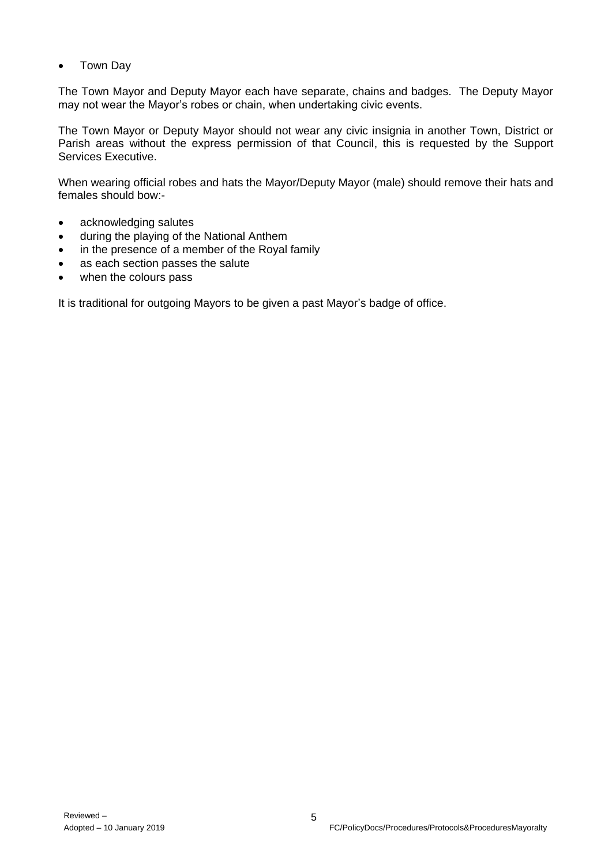• Town Dav

The Town Mayor and Deputy Mayor each have separate, chains and badges. The Deputy Mayor may not wear the Mayor's robes or chain, when undertaking civic events.

The Town Mayor or Deputy Mayor should not wear any civic insignia in another Town, District or Parish areas without the express permission of that Council, this is requested by the Support Services Executive.

When wearing official robes and hats the Mayor/Deputy Mayor (male) should remove their hats and females should bow:-

- acknowledging salutes
- during the playing of the National Anthem
- in the presence of a member of the Royal family
- as each section passes the salute
- when the colours pass

It is traditional for outgoing Mayors to be given a past Mayor's badge of office.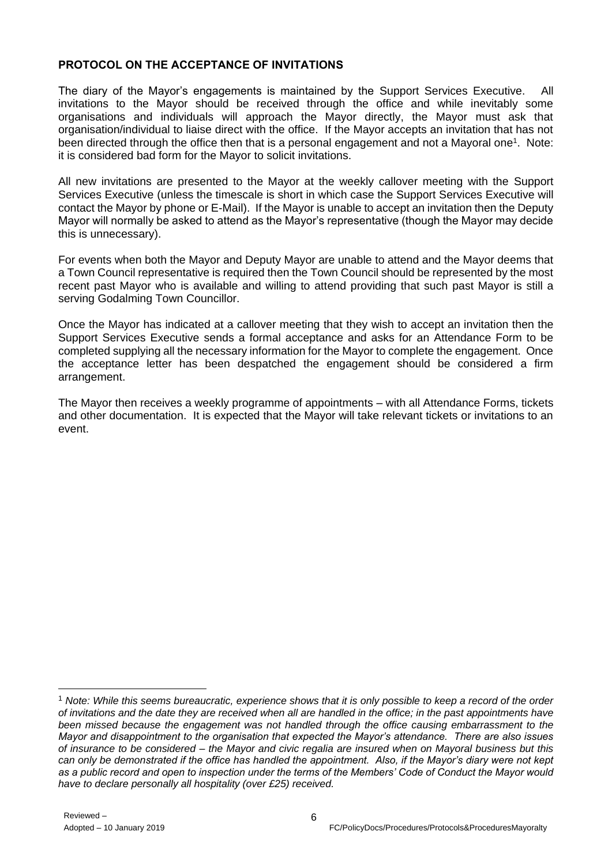# **PROTOCOL ON THE ACCEPTANCE OF INVITATIONS**

The diary of the Mayor's engagements is maintained by the Support Services Executive. All invitations to the Mayor should be received through the office and while inevitably some organisations and individuals will approach the Mayor directly, the Mayor must ask that organisation/individual to liaise direct with the office. If the Mayor accepts an invitation that has not been directed through the office then that is a personal engagement and not a Mayoral one<sup>1</sup>. Note: it is considered bad form for the Mayor to solicit invitations.

All new invitations are presented to the Mayor at the weekly callover meeting with the Support Services Executive (unless the timescale is short in which case the Support Services Executive will contact the Mayor by phone or E-Mail). If the Mayor is unable to accept an invitation then the Deputy Mayor will normally be asked to attend as the Mayor's representative (though the Mayor may decide this is unnecessary).

For events when both the Mayor and Deputy Mayor are unable to attend and the Mayor deems that a Town Council representative is required then the Town Council should be represented by the most recent past Mayor who is available and willing to attend providing that such past Mayor is still a serving Godalming Town Councillor.

Once the Mayor has indicated at a callover meeting that they wish to accept an invitation then the Support Services Executive sends a formal acceptance and asks for an Attendance Form to be completed supplying all the necessary information for the Mayor to complete the engagement. Once the acceptance letter has been despatched the engagement should be considered a firm arrangement.

The Mayor then receives a weekly programme of appointments – with all Attendance Forms, tickets and other documentation. It is expected that the Mayor will take relevant tickets or invitations to an event.

<sup>1</sup> *Note: While this seems bureaucratic, experience shows that it is only possible to keep a record of the order of invitations and the date they are received when all are handled in the office; in the past appointments have been missed because the engagement was not handled through the office causing embarrassment to the Mayor and disappointment to the organisation that expected the Mayor's attendance. There are also issues of insurance to be considered – the Mayor and civic regalia are insured when on Mayoral business but this can only be demonstrated if the office has handled the appointment. Also, if the Mayor's diary were not kept as a public record and open to inspection under the terms of the Members' Code of Conduct the Mayor would have to declare personally all hospitality (over £25) received.*